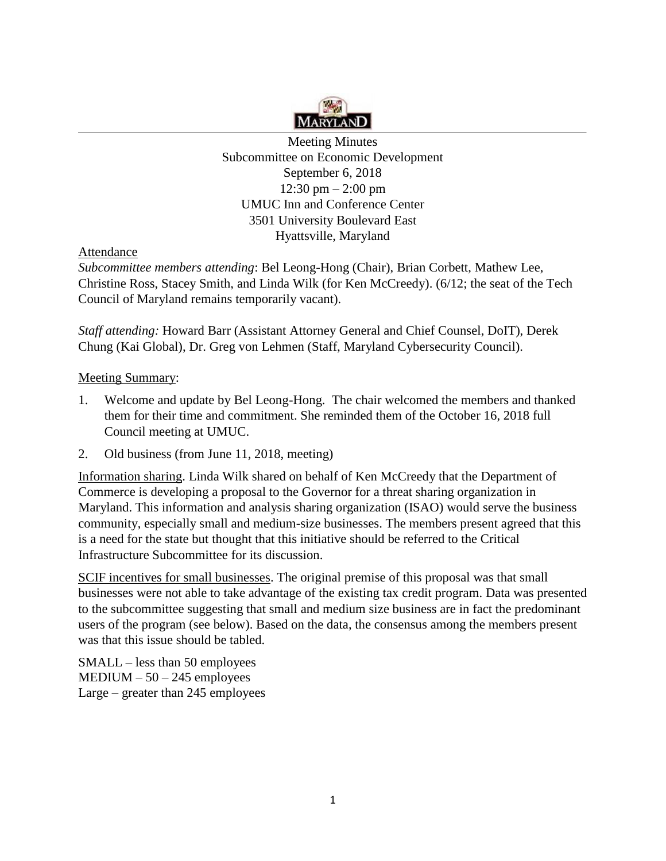

Meeting Minutes Subcommittee on Economic Development September 6, 2018 12:30 pm – 2:00 pm UMUC Inn and Conference Center 3501 University Boulevard East Hyattsville, Maryland

Attendance

*Subcommittee members attending*: Bel Leong-Hong (Chair), Brian Corbett, Mathew Lee, Christine Ross, Stacey Smith, and Linda Wilk (for Ken McCreedy). (6/12; the seat of the Tech Council of Maryland remains temporarily vacant).

*Staff attending:* Howard Barr (Assistant Attorney General and Chief Counsel, DoIT), Derek Chung (Kai Global), Dr. Greg von Lehmen (Staff, Maryland Cybersecurity Council).

# Meeting Summary:

- 1. Welcome and update by Bel Leong-Hong. The chair welcomed the members and thanked them for their time and commitment. She reminded them of the October 16, 2018 full Council meeting at UMUC.
- 2. Old business (from June 11, 2018, meeting)

Information sharing. Linda Wilk shared on behalf of Ken McCreedy that the Department of Commerce is developing a proposal to the Governor for a threat sharing organization in Maryland. This information and analysis sharing organization (ISAO) would serve the business community, especially small and medium-size businesses. The members present agreed that this is a need for the state but thought that this initiative should be referred to the Critical Infrastructure Subcommittee for its discussion.

SCIF incentives for small businesses. The original premise of this proposal was that small businesses were not able to take advantage of the existing tax credit program. Data was presented to the subcommittee suggesting that small and medium size business are in fact the predominant users of the program (see below). Based on the data, the consensus among the members present was that this issue should be tabled.

SMALL – less than 50 employees  $MEDIUM - 50 - 245$  employees Large – greater than 245 employees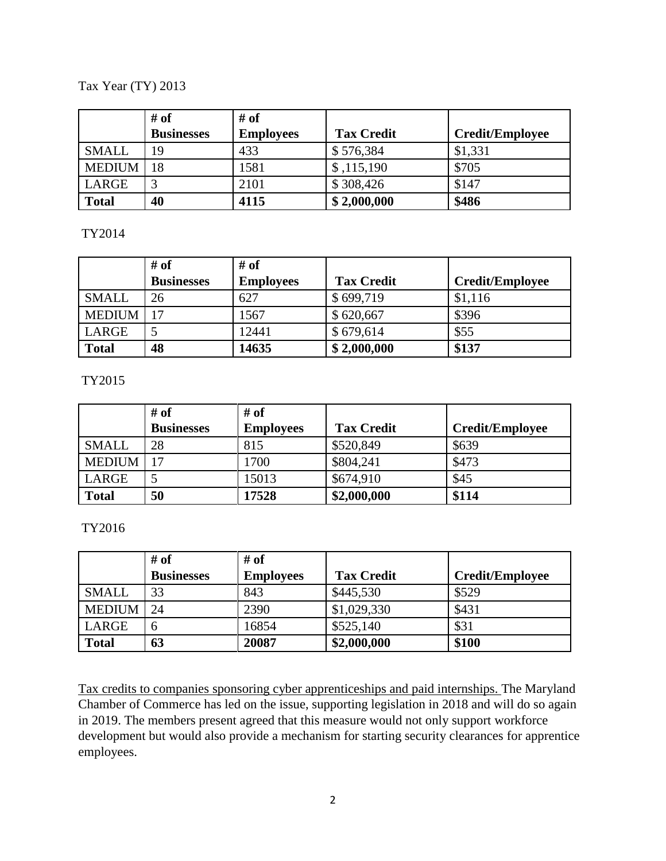# Tax Year (TY) 2013

|               | # of              | # of             |                   |                        |
|---------------|-------------------|------------------|-------------------|------------------------|
|               | <b>Businesses</b> | <b>Employees</b> | <b>Tax Credit</b> | <b>Credit/Employee</b> |
| <b>SMALL</b>  | 19                | 433              | \$576,384         | \$1,331                |
| <b>MEDIUM</b> | 18                | 1581             | \$,115,190        | \$705                  |
| LARGE         | ⌒                 | 2101             | \$308,426         | \$147                  |
| <b>Total</b>  | 40                | 4115             | \$2,000,000       | \$486                  |

## TY2014

|               | # of              | # of             |                   |                        |
|---------------|-------------------|------------------|-------------------|------------------------|
|               | <b>Businesses</b> | <b>Employees</b> | <b>Tax Credit</b> | <b>Credit/Employee</b> |
| <b>SMALL</b>  | 26                | 627              | \$699,719         | \$1,116                |
| <b>MEDIUM</b> | 17                | 1567             | \$620,667         | \$396                  |
| LARGE         |                   | 12441            | \$679,614         | \$55                   |
| <b>Total</b>  | 48                | 14635            | \$2,000,000       | \$137                  |

## TY2015

|               | # of              | # of             |                   |                        |
|---------------|-------------------|------------------|-------------------|------------------------|
|               | <b>Businesses</b> | <b>Employees</b> | <b>Tax Credit</b> | <b>Credit/Employee</b> |
| <b>SMALL</b>  | 28                | 815              | \$520,849         | \$639                  |
| <b>MEDIUM</b> | 17                | 1700             | \$804,241         | \$473                  |
| LARGE         |                   | 15013            | \$674,910         | \$45                   |
| <b>Total</b>  | 50                | 17528            | \$2,000,000       | \$114                  |

## TY2016

|               | # of              | # of             |                   |                        |
|---------------|-------------------|------------------|-------------------|------------------------|
|               | <b>Businesses</b> | <b>Employees</b> | <b>Tax Credit</b> | <b>Credit/Employee</b> |
| <b>SMALL</b>  | 33                | 843              | \$445,530         | \$529                  |
| <b>MEDIUM</b> | 24                | 2390             | \$1,029,330       | \$431                  |
| LARGE         | 6                 | 16854            | \$525,140         | \$31                   |
| <b>Total</b>  | 63                | 20087            | \$2,000,000       | \$100                  |

Tax credits to companies sponsoring cyber apprenticeships and paid internships. The Maryland Chamber of Commerce has led on the issue, supporting legislation in 2018 and will do so again in 2019. The members present agreed that this measure would not only support workforce development but would also provide a mechanism for starting security clearances for apprentice employees.